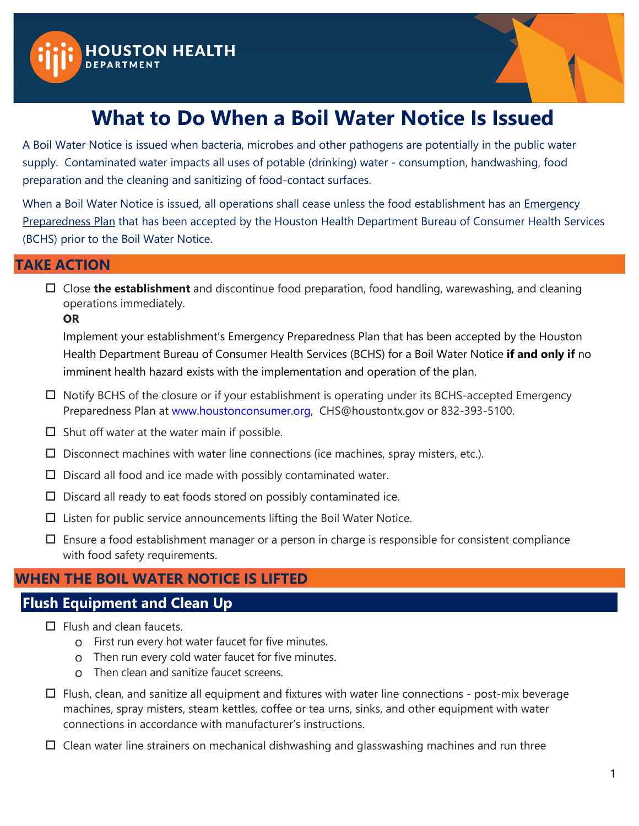



# **What to Do When a Boil Water Notice Is Issued**

A Boil Water Notice is issued when bacteria, microbes and other pathogens are potentially in the public water supply. Contaminated water impacts all uses of potable (drinking) water - consumption, handwashing, food preparation and the cleaning and sanitizing of food-contact surfaces.

When a Boil Water Notice is issued, all operations shall cease unless the food establishment has an *Emergency* Preparedness Plan that has been accepted by the Houston Health Department Bureau of Consumer Health Services (BCHS) prior to the Boil Water Notice.

#### **TAKE ACTION**

 Close **the establishment** and discontinue food preparation, food handling, warewashing, and cleaning operations immediately.

**OR** 

Implement your establishment's Emergency Preparedness Plan that has been accepted by the Houston Health Department Bureau of Consumer Health Services (BCHS) for a Boil Water Notice **if and only if** no imminent health hazard exists with the implementation and operation of the plan.

- $\Box$  Notify BCHS of the closure or if your establishment is operating under its BCHS-accepted Emergency Preparedness Plan at [www.houstonconsumer.org,](http://www.houstonconsumer.org/) [CHS@houstontx.gov o](mailto:%20CHS@houstontx.gov)r 832-393-5100.
- $\square$  Shut off water at the water main if possible.
- $\square$  Disconnect machines with water line connections (ice machines, spray misters, etc.).
- $\square$  Discard all food and ice made with possibly contaminated water.
- $\square$  Discard all ready to eat foods stored on possibly contaminated ice.
- $\square$  Listen for public service announcements lifting the Boil Water Notice.
- $\Box$  Ensure a food establishment manager or a person in charge is responsible for consistent compliance with food safety requirements.

## **WHEN THE BOIL WATER NOTICE IS LIFTED**

## **Flush Equipment and Clean Up**

- $\Box$  Flush and clean faucets.
	- o First run every hot water faucet for five minutes.
	- Then run every cold water faucet for five minutes.
	- Then clean and sanitize faucet screens.
- $\Box$  Flush, clean, and sanitize all equipment and fixtures with water line connections post-mix beverage machines, spray misters, steam kettles, coffee or tea urns, sinks, and other equipment with water connections in accordance with manufacturer's instructions.
- $\Box$  Clean water line strainers on mechanical dishwashing and glasswashing machines and run three